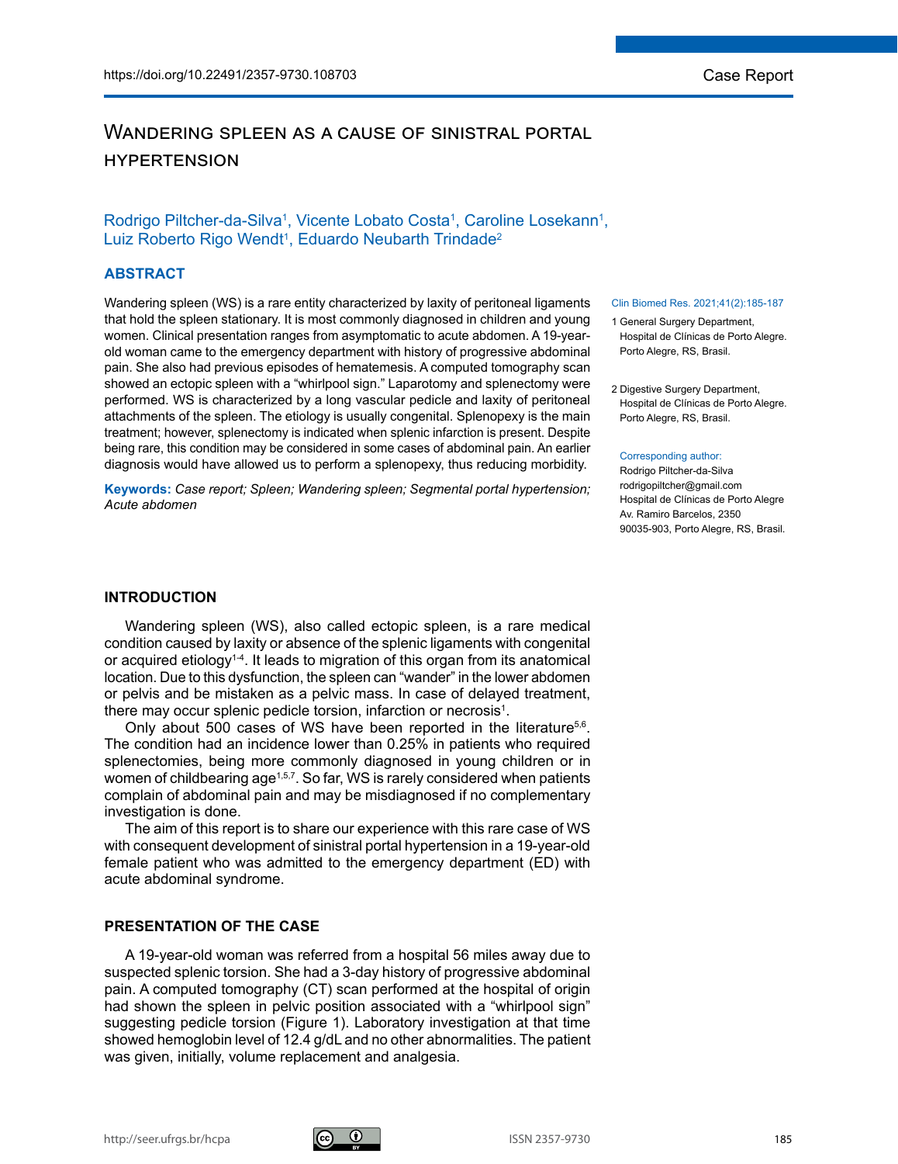# Wandering spleen as a cause of sinistral portal **HYPERTENSION**

## Rodrigo Piltcher-da-Silva<sup>1</sup>, Vicente Lobato Costa<sup>1</sup>, Caroline Losekann<sup>1</sup>, Luiz Roberto Rigo Wendt<sup>1</sup>, Eduardo Neubarth Trindade<sup>2</sup>

### **ABSTRACT**

Wandering spleen (WS) is a rare entity characterized by laxity of peritoneal ligaments that hold the spleen stationary. It is most commonly diagnosed in children and young women. Clinical presentation ranges from asymptomatic to acute abdomen. A 19-yearold woman came to the emergency department with history of progressive abdominal pain. She also had previous episodes of hematemesis. A computed tomography scan showed an ectopic spleen with a "whirlpool sign." Laparotomy and splenectomy were performed. WS is characterized by a long vascular pedicle and laxity of peritoneal attachments of the spleen. The etiology is usually congenital. Splenopexy is the main treatment; however, splenectomy is indicated when splenic infarction is present. Despite being rare, this condition may be considered in some cases of abdominal pain. An earlier diagnosis would have allowed us to perform a splenopexy, thus reducing morbidity.

**Keywords:** *Case report; Spleen; Wandering spleen; Segmental portal hypertension; Acute abdomen*

### **INTRODUCTION**

Wandering spleen (WS), also called ectopic spleen, is a rare medical condition caused by laxity or absence of the splenic ligaments with congenital or acquired etiology<sup>1-4</sup>. It leads to migration of this organ from its anatomical location. Due to this dysfunction, the spleen can "wander" in the lower abdomen or pelvis and be mistaken as a pelvic mass. In case of delayed treatment, there may occur splenic pedicle torsion, infarction or necrosis $^{\rm 1}.$ 

Only about 500 cases of WS have been reported in the literature<sup>5,6</sup>. The condition had an incidence lower than 0.25% in patients who required splenectomies, being more commonly diagnosed in young children or in women of childbearing age<sup>1,5,7</sup>. So far, WS is rarely considered when patients complain of abdominal pain and may be misdiagnosed if no complementary investigation is done.

The aim of this report is to share our experience with this rare case of WS with consequent development of sinistral portal hypertension in a 19-year-old female patient who was admitted to the emergency department (ED) with acute abdominal syndrome.

#### **PRESENTATION OF THE CASE**

A 19-year-old woman was referred from a hospital 56 miles away due to suspected splenic torsion. She had a 3-day history of progressive abdominal pain. A computed tomography (CT) scan performed at the hospital of origin had shown the spleen in pelvic position associated with a "whirlpool sign" suggesting pedicle torsion (Figure 1). Laboratory investigation at that time showed hemoglobin level of 12.4 g/dL and no other abnormalities. The patient was given, initially, volume replacement and analgesia.

#### Clin Biomed Res. 2021;41(2):185-187

- 1 General Surgery Department, Hospital de Clínicas de Porto Alegre. Porto Alegre, RS, Brasil.
- 2 Digestive Surgery Department, Hospital de Clínicas de Porto Alegre. Porto Alegre, RS, Brasil.

#### Corresponding author:

Rodrigo Piltcher-da-Silva rodrigopiltcher@gmail.com Hospital de Clínicas de Porto Alegre Av. Ramiro Barcelos, 2350 90035-903, Porto Alegre, RS, Brasil.

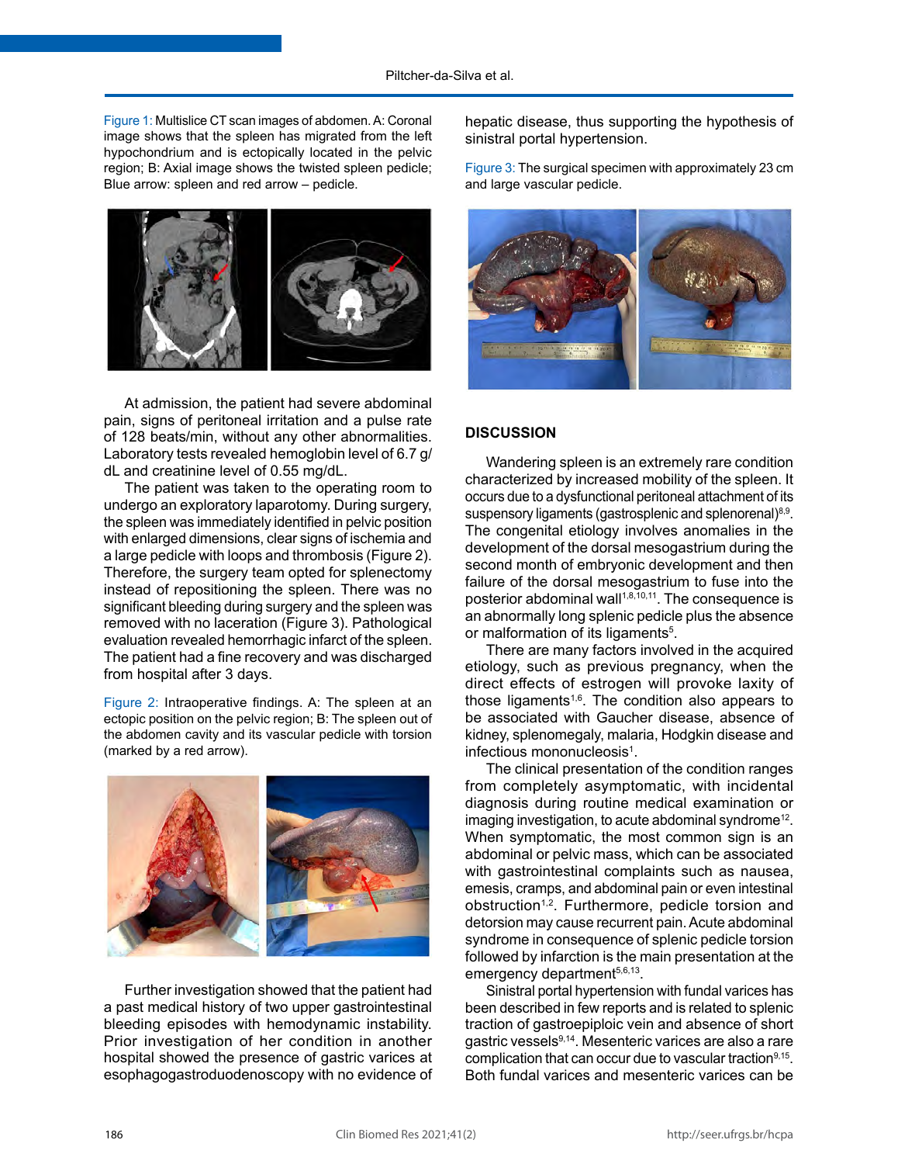Figure 1: Multislice CT scan images of abdomen. A: Coronal image shows that the spleen has migrated from the left hypochondrium and is ectopically located in the pelvic region; B: Axial image shows the twisted spleen pedicle; Blue arrow: spleen and red arrow – pedicle.



At admission, the patient had severe abdominal pain, signs of peritoneal irritation and a pulse rate of 128 beats/min, without any other abnormalities. Laboratory tests revealed hemoglobin level of 6.7 g/ dL and creatinine level of 0.55 mg/dL.

The patient was taken to the operating room to undergo an exploratory laparotomy. During surgery, the spleen was immediately identified in pelvic position with enlarged dimensions, clear signs of ischemia and a large pedicle with loops and thrombosis (Figure 2). Therefore, the surgery team opted for splenectomy instead of repositioning the spleen. There was no significant bleeding during surgery and the spleen was removed with no laceration (Figure 3). Pathological evaluation revealed hemorrhagic infarct of the spleen. The patient had a fine recovery and was discharged from hospital after 3 days.

Figure 2: Intraoperative findings. A: The spleen at an ectopic position on the pelvic region; B: The spleen out of the abdomen cavity and its vascular pedicle with torsion (marked by a red arrow).



Further investigation showed that the patient had a past medical history of two upper gastrointestinal bleeding episodes with hemodynamic instability. Prior investigation of her condition in another hospital showed the presence of gastric varices at esophagogastroduodenoscopy with no evidence of hepatic disease, thus supporting the hypothesis of sinistral portal hypertension.

Figure 3: The surgical specimen with approximately 23 cm and large vascular pedicle.



### **DISCUSSION**

Wandering spleen is an extremely rare condition characterized by increased mobility of the spleen. It occurs due to a dysfunctional peritoneal attachment of its suspensory ligaments (gastrosplenic and splenorenal)<sup>8,9</sup>. The congenital etiology involves anomalies in the development of the dorsal mesogastrium during the second month of embryonic development and then failure of the dorsal mesogastrium to fuse into the posterior abdominal wall<sup>1,8,10,11</sup>. The consequence is an abnormally long splenic pedicle plus the absence or malformation of its ligaments<sup>5</sup>.

There are many factors involved in the acquired etiology, such as previous pregnancy, when the direct effects of estrogen will provoke laxity of those ligaments<sup>1,6</sup>. The condition also appears to be associated with Gaucher disease, absence of kidney, splenomegaly, malaria, Hodgkin disease and infectious mononucleosis<sup>1</sup>.

The clinical presentation of the condition ranges from completely asymptomatic, with incidental diagnosis during routine medical examination or imaging investigation, to acute abdominal syndrome<sup>12</sup>. When symptomatic, the most common sign is an abdominal or pelvic mass, which can be associated with gastrointestinal complaints such as nausea, emesis, cramps, and abdominal pain or even intestinal obstruction<sup>1,2</sup>. Furthermore, pedicle torsion and detorsion may cause recurrent pain. Acute abdominal syndrome in consequence of splenic pedicle torsion followed by infarction is the main presentation at the emergency department<sup>5,6,13</sup>.

Sinistral portal hypertension with fundal varices has been described in few reports and is related to splenic traction of gastroepiploic vein and absence of short gastric vessels9,14. Mesenteric varices are also a rare complication that can occur due to vascular traction $9,15$ . Both fundal varices and mesenteric varices can be